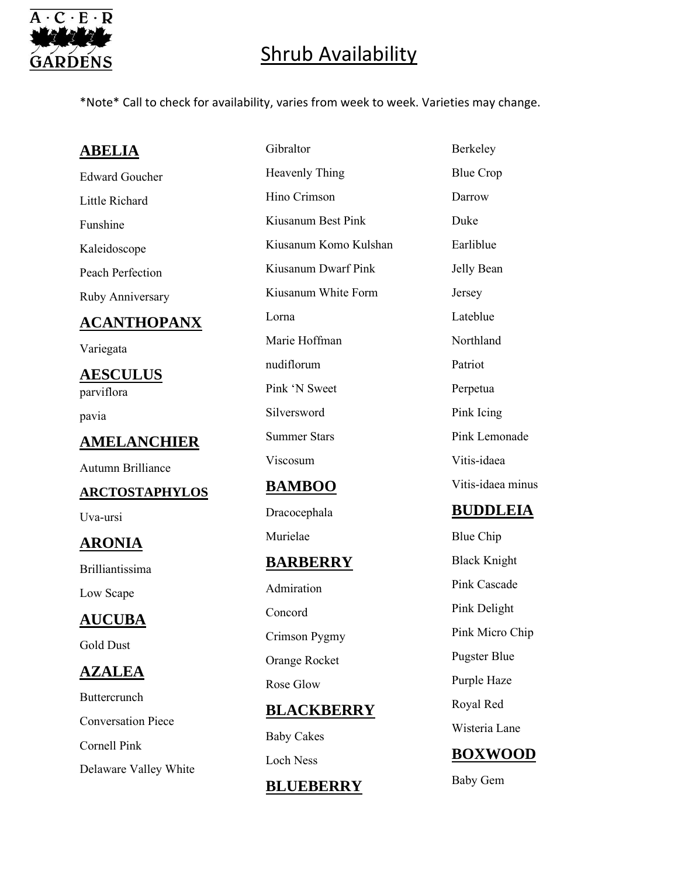

\*Note\* Call to check for availability, varies from week to week. Varieties may change.

## **ABELIA**

Edward Goucher Little Richard Funshine Kaleidoscope Peach Perfection Ruby Anniversary

### **ACANTHOPANX**

Variegata

**AESCULUS** parviflora

pavia

### **AMELANCHIER**

Autumn Brilliance

#### **ARCTOSTAPHYLOS**

Uva-ursi

## **ARONIA**

Brilliantissima

Low Scape

## **AUCUBA**

Gold Dust

### **AZALEA**

Buttercrunch Conversation Piece Cornell Pink Delaware Valley White

Gibraltor Heavenly Thing Hino Crimson Kiusanum Best Pink Kiusanum Komo Kulshan Kiusanum Dwarf Pink Kiusanum White Form Lorna Marie Hoffman nudiflorum Pink 'N Sweet Silversword Summer Stars Viscosum

### **BAMBOO**

Dracocephala

Murielae

### **BARBERRY**

Admiration Concord Crimson Pygmy Orange Rocket Rose Glow

### **BLACKBERRY**

Baby Cakes Loch Ness

#### **BLUEBERRY**

Berkeley Blue Crop Darrow Duke Earliblue Jelly Bean Jersey Lateblue Northland Patriot Perpetua Pink Icing Pink Lemonade Vitis-idaea Vitis-idaea minus

#### **BUDDLEIA**

Blue Chip Black Knight Pink Cascade Pink Delight Pink Micro Chip Pugster Blue Purple Haze Royal Red Wisteria Lane

## **BOXWOOD**

Baby Gem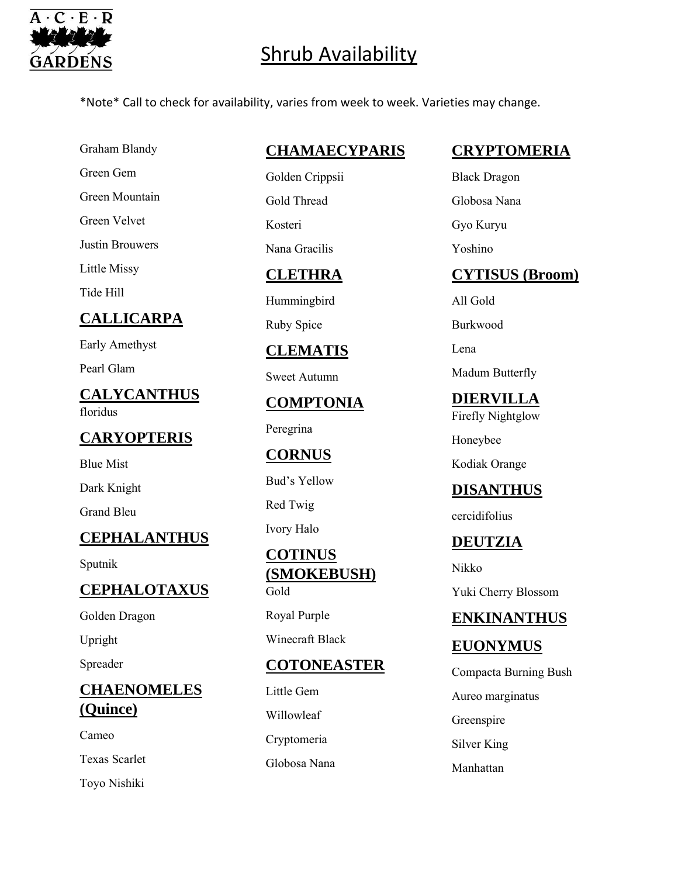

\*Note\* Call to check for availability, varies from week to week. Varieties may change.

Graham Blandy

Green Gem

Green Mountain

Green Velvet

Justin Brouwers

Little Missy

Tide Hill

## **CALLICARPA**

Early Amethyst

Pearl Glam

**CALYCANTHUS** floridus

### **CARYOPTERIS**

Blue Mist Dark Knight

Grand Bleu

### **CEPHALANTHUS**

Sputnik

## **CEPHALOTAXUS**

Golden Dragon

Upright

Spreader

### **CHAENOMELES (Quince)**

Cameo Texas Scarlet Toyo Nishiki

## **CHAMAECYPARIS**

Golden Crippsii Gold Thread Kosteri Nana Gracilis

### **CLETHRA**

Hummingbird

Ruby Spice

### **CLEMATIS**

Sweet Autumn

**COMPTONIA**

Peregrina

### **CORNUS**

Bud's Yellow

Red Twig

Ivory Halo

#### **COTINUS (SMOKEBUSH)** Gold

Royal Purple Winecraft Black

## **COTONEASTER**

Little Gem Willowleaf Cryptomeria Globosa Nana

## **CRYPTOMERIA**

Black Dragon

Globosa Nana

Gyo Kuryu

Yoshino

### **CYTISUS (Broom)**

All Gold

Burkwood

Lena

Madum Butterfly

## **DIERVILLA**

Firefly Nightglow

Honeybee

Kodiak Orange

## **DISANTHUS**

cercidifolius

### **DEUTZIA**

Nikko

Yuki Cherry Blossom

### **ENKINANTHUS**

## **EUONYMUS**

- Compacta Burning Bush
- Aureo marginatus
- Greenspire
- Silver King
- Manhattan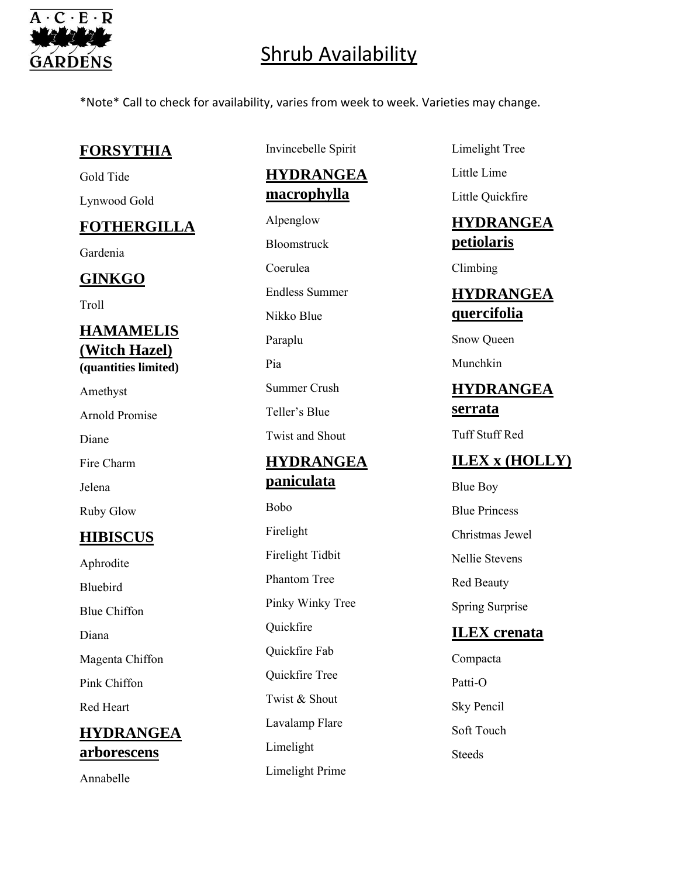

\*Note\* Call to check for availability, varies from week to week. Varieties may change.

### **FORSYTHIA**

Gold Tide Lynwood Gold

## **FOTHERGILLA**

Gardenia

## **GINKGO**

Troll

#### **HAMAMELIS (Witch Hazel) (quantities limited)**

Amethyst Arnold Promise Diane Fire Charm Jelena Ruby Glow

## **HIBISCUS**

Aphrodite Bluebird Blue Chiffon Diana Magenta Chiffon Pink Chiffon Red Heart **HYDRANGEA arborescens**

Annabelle

Invincebelle Spirit

**HYDRANGEA macrophylla**

Alpenglow Bloomstruck Coerulea Endless Summer Nikko Blue Paraplu Pia Summer Crush Teller's Blue Twist and Shout

## **HYDRANGEA paniculata**

Bobo Firelight Firelight Tidbit Phantom Tree Pinky Winky Tree Quickfire Quickfire Fab Quickfire Tree Twist & Shout Lavalamp Flare Limelight Limelight Prime

- Limelight Tree
- Little Lime

Little Quickfire

## **HYDRANGEA petiolaris**

Climbing

## **HYDRANGEA quercifolia**

Snow Queen

Munchkin

## **HYDRANGEA serrata**

Tuff Stuff Red

## **ILEX x (HOLLY)**

- Blue Boy Blue Princess Christmas Jewel Nellie Stevens Red Beauty Spring Surprise **ILEX crenata**
- Compacta Patti-O Sky Pencil Soft Touch Steeds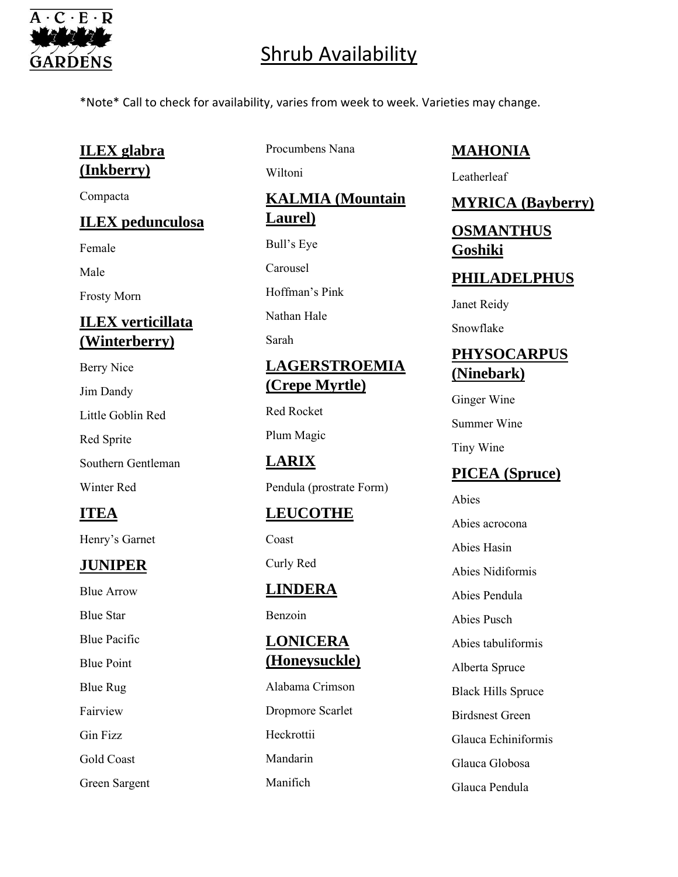

\*Note\* Call to check for availability, varies from week to week. Varieties may change.

## **ILEX glabra (Inkberry)**

Compacta

### **ILEX pedunculosa**

Female

Male

Frosty Morn

## **ILEX verticillata (Winterberry)**

- Berry Nice
- Jim Dandy

Little Goblin Red

Red Sprite

Southern Gentleman

Winter Red

## **ITEA**

Henry's Garnet

## **JUNIPER**

Blue Arrow Blue Star

Blue Pacific

Blue Point

Blue Rug

Fairview

Gin Fizz

Gold Coast

Green Sargent

Procumbens Nana

Wiltoni

**KALMIA (Mountain Laurel)**

Bull's Eye Carousel

Hoffman's Pink

Nathan Hale

Sarah

## **LAGERSTROEMIA (Crepe Myrtle)**

Red Rocket

Plum Magic

## **LARIX**

Pendula (prostrate Form)

## **LEUCOTHE**

Coast

Curly Red

## **LINDERA**

Benzoin

## **LONICERA (Honeysuckle)**

Alabama Crimson Dropmore Scarlet **Heckrottii** Mandarin Manifich

### **MAHONIA**

Leatherleaf

### **MYRICA (Bayberry)**

## **OSMANTHUS Goshiki**

### **PHILADELPHUS**

Janet Reidy

Snowflake

## **PHYSOCARPUS (Ninebark)**

Ginger Wine Summer Wine

Tiny Wine

## **PICEA (Spruce)**

Abies Abies acrocona Abies Hasin Abies Nidiformis Abies Pendula Abies Pusch Abies tabuliformis Alberta Spruce Black Hills Spruce

Birdsnest Green

Glauca Echiniformis

Glauca Globosa

Glauca Pendula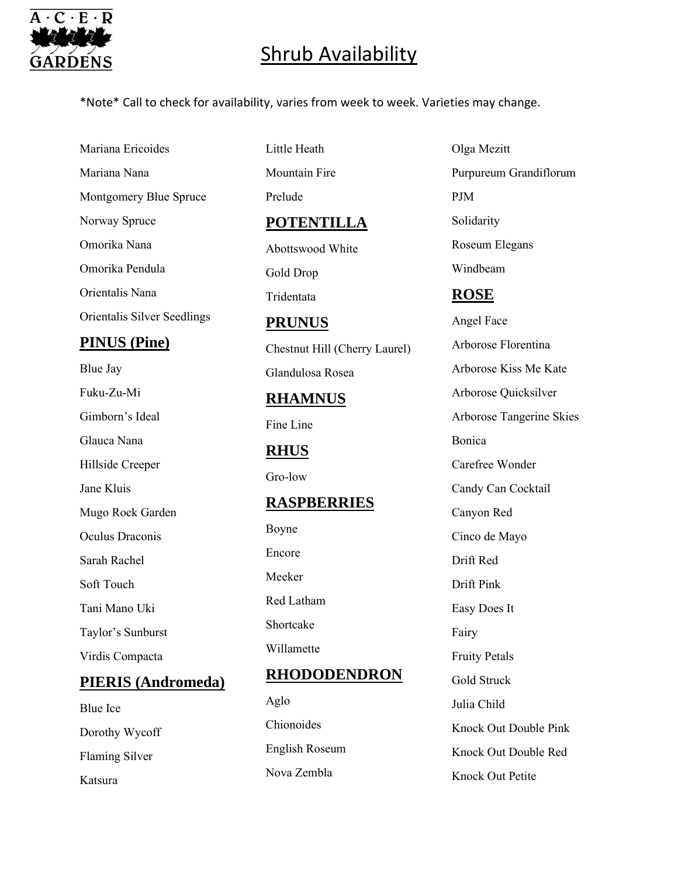

\*Note\* Call to check for availability, varies from week to week. Varieties may change.

Mariana Ericoides Mariana Nana Montgomery Blue Spruce Norway Spruce Omorika Nana Omorika Pendula Orientalis Nana Orientalis Silver Seedlings

### **PINUS (Pine)**

Blue Jay Fuku-Zu-Mi Gimborn's Ideal Glauca Nana Hillside Creeper Jane Kluis Mugo Rock Garden Oculus Draconis Sarah Rachel Soft Touch Tani Mano Uki Taylor's Sunburst Virdis Compacta

### **PIERIS (Andromeda)**

Blue Ice Dorothy Wycoff Flaming Silver Katsura

Little Heath Mountain Fire Prelude **POTENTILLA** Abottswood White Gold Drop Tridentata

#### **PRUNUS**

Chestnut Hill (Cherry Laurel) Glandulosa Rosea

# **RHAMNUS**

Fine Line

### **RHUS**

Gro-low

### **RASPBERRIES**

Boyne Encore Meeker Red Latham Shortcake Willamette

### **RHODODENDRON**

Aglo Chionoides English Roseum Nova Zembla

Olga Mezitt Purpureum Grandiflorum PJM Solidarity Roseum Elegans Windbeam **ROSE**

Angel Face Arborose Florentina Arborose Kiss Me Kate Arborose Quicksilver Arborose Tangerine Skies Bonica Carefree Wonder Candy Can Cocktail Canyon Red Cinco de Mayo Drift Red Drift Pink Easy Does It Fairy Fruity Petals Gold Struck Julia Child Knock Out Double Pink Knock Out Double Red Knock Out Petite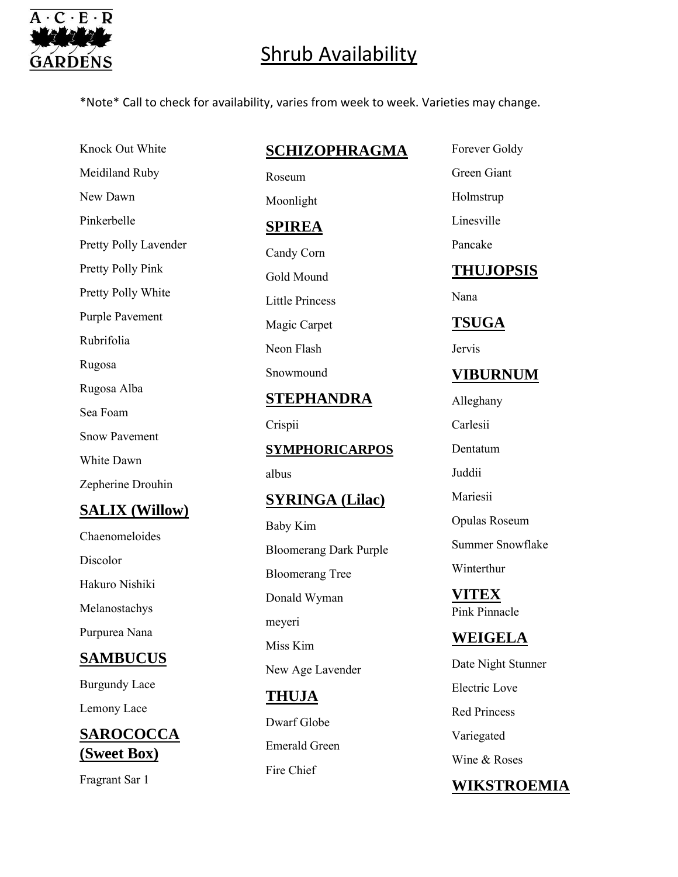

\*Note\* Call to check for availability, varies from week to week. Varieties may change.

Knock Out White Meidiland Ruby New Dawn Pinkerbelle Pretty Polly Lavender Pretty Polly Pink Pretty Polly White Purple Pavement Rubrifolia Rugosa Rugosa Alba Sea Foam Snow Pavement White Dawn Zepherine Drouhin **SALIX (Willow)**

Chaenomeloides Discolor Hakuro Nishiki Melanostachys Purpurea Nana

## **SAMBUCUS**

Burgundy Lace Lemony Lace

**SAROCOCCA (Sweet Box)**

Fragrant Sar 1

#### **SCHIZOPHRAGMA**

Roseum Moonlight **SPIREA** Candy Corn Gold Mound Little Princess Magic Carpet Neon Flash Snowmound

### **STEPHANDRA**

Crispii

**SYMPHORICARPOS**

albus

#### **SYRINGA (Lilac)**

Baby Kim Bloomerang Dark Purple Bloomerang Tree Donald Wyman meyeri Miss Kim New Age Lavender

## **THUJA** Dwarf Globe

Emerald Green Fire Chief

Forever Goldy

Green Giant Holmstrup

Linesville

Pancake

## **THUJOPSIS**

Nana

### **TSUGA**

Jervis

### **VIBURNUM**

Alleghany Carlesii Dentatum Juddii Mariesii Opulas Roseum Summer Snowflake Winterthur

**VITEX** Pink Pinnacle

**WEIGELA** Date Night Stunner

Electric Love

Red Princess

Variegated

Wine & Roses

## **WIKSTROEMIA**